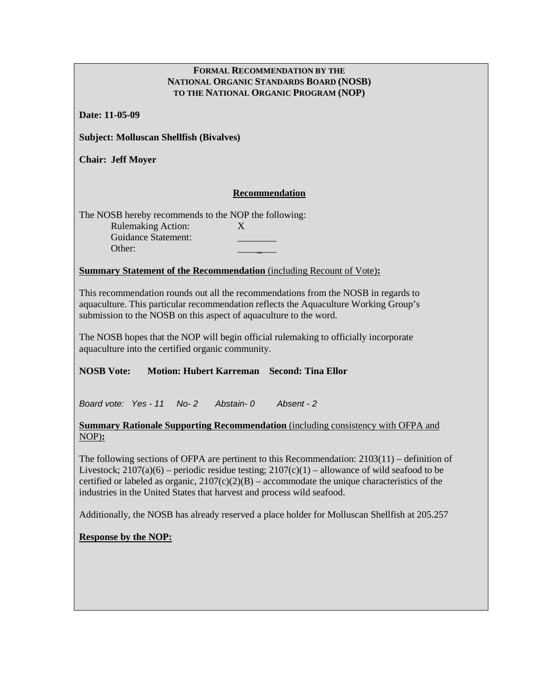#### **FORMAL RECOMMENDATION BY THE NATIONAL ORGANIC STANDARDS BOARD (NOSB) TO THE NATIONAL ORGANIC PROGRAM (NOP)**

**Date: 11-05-09**

**Subject: Molluscan Shellfish (Bivalves)**

**Chair: Jeff Moyer**

#### **Recommendation**

The NOSB hereby recommends to the NOP the following: Rulemaking Action: X Guidance Statement: \_\_\_\_\_\_\_\_ Other:

#### **Summary Statement of the Recommendation** (including Recount of Vote)**:**

This recommendation rounds out all the recommendations from the NOSB in regards to aquaculture. This particular recommendation reflects the Aquaculture Working Group's submission to the NOSB on this aspect of aquaculture to the word.

The NOSB hopes that the NOP will begin official rulemaking to officially incorporate aquaculture into the certified organic community.

#### **NOSB Vote: Motion: Hubert Karreman Second: Tina Ellor**

*Board vote: Yes - 11 No- 2 Abstain- 0 Absent - 2* 

#### **Summary Rationale Supporting Recommendation** (including consistency with OFPA and NOP)**:**

The following sections of OFPA are pertinent to this Recommendation: 2103(11) – definition of Livestock;  $2107(a)(6)$  – periodic residue testing;  $2107(c)(1)$  – allowance of wild seafood to be certified or labeled as organic,  $2107(c)(2)(B)$  – accommodate the unique characteristics of the industries in the United States that harvest and process wild seafood.

Additionally, the NOSB has already reserved a place holder for Molluscan Shellfish at 205.257

#### **Response by the NOP:**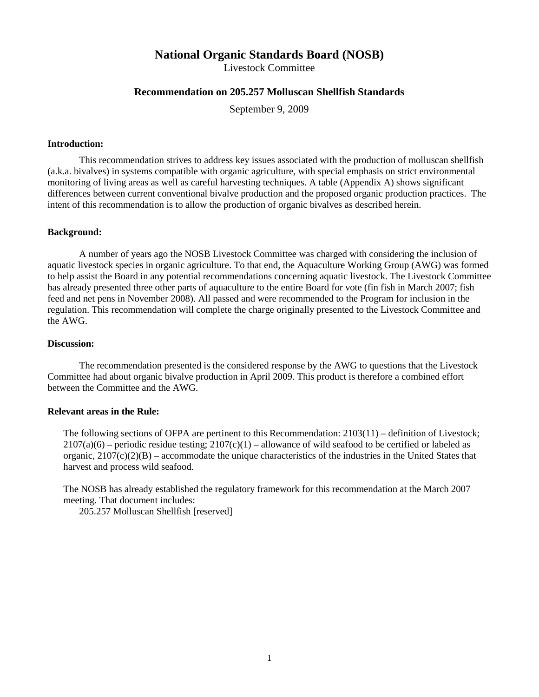## **National Organic Standards Board (NOSB)**

Livestock Committee

#### **Recommendation on 205.257 Molluscan Shellfish Standards**

September 9, 2009

#### **Introduction:**

This recommendation strives to address key issues associated with the production of molluscan shellfish (a.k.a. bivalves) in systems compatible with organic agriculture, with special emphasis on strict environmental monitoring of living areas as well as careful harvesting techniques. A table (Appendix A) shows significant differences between current conventional bivalve production and the proposed organic production practices. The intent of this recommendation is to allow the production of organic bivalves as described herein.

#### **Background:**

A number of years ago the NOSB Livestock Committee was charged with considering the inclusion of aquatic livestock species in organic agriculture. To that end, the Aquaculture Working Group (AWG) was formed to help assist the Board in any potential recommendations concerning aquatic livestock. The Livestock Committee has already presented three other parts of aquaculture to the entire Board for vote (fin fish in March 2007; fish feed and net pens in November 2008). All passed and were recommended to the Program for inclusion in the regulation. This recommendation will complete the charge originally presented to the Livestock Committee and the AWG.

#### **Discussion:**

The recommendation presented is the considered response by the AWG to questions that the Livestock Committee had about organic bivalve production in April 2009. This product is therefore a combined effort between the Committee and the AWG.

#### **Relevant areas in the Rule:**

The following sections of OFPA are pertinent to this Recommendation: 2103(11) – definition of Livestock;  $2107(a)(6)$  – periodic residue testing;  $2107(c)(1)$  – allowance of wild seafood to be certified or labeled as organic,  $2107(c)(2)(B)$  – accommodate the unique characteristics of the industries in the United States that harvest and process wild seafood.

The NOSB has already established the regulatory framework for this recommendation at the March 2007 meeting. That document includes:

205.257 Molluscan Shellfish [reserved]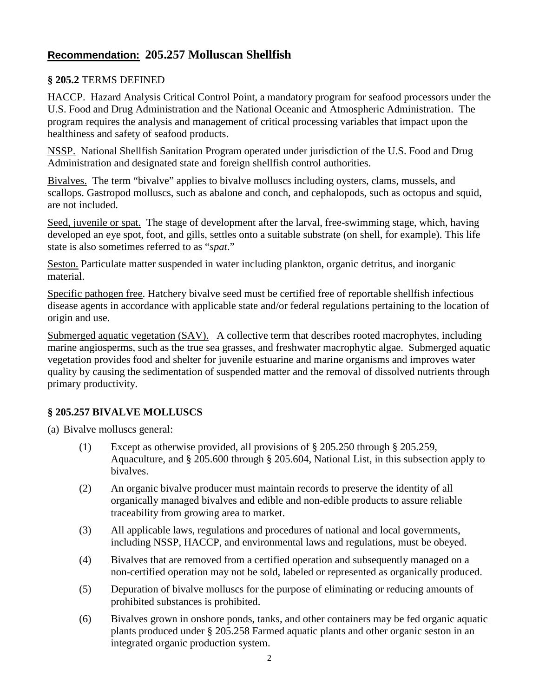## **Recommendation: 205.257 Molluscan Shellfish**

### **§ 205.2** TERMS DEFINED

HACCP. Hazard Analysis Critical Control Point, a mandatory program for seafood processors under the U.S. Food and Drug Administration and the National Oceanic and Atmospheric Administration. The program requires the analysis and management of critical processing variables that impact upon the healthiness and safety of seafood products.

NSSP. National Shellfish Sanitation Program operated under jurisdiction of the U.S. Food and Drug Administration and designated state and foreign shellfish control authorities.

Bivalves. The term "bivalve" applies to bivalve molluscs including oysters, clams, mussels, and scallops. Gastropod molluscs, such as abalone and conch, and cephalopods, such as octopus and squid, are not included.

Seed, juvenile or spat. The stage of development after the larval, free-swimming stage, which, having developed an eye spot, foot, and gills, settles onto a suitable substrate (on shell, for example). This life state is also sometimes referred to as "*spat*."

Seston. Particulate matter suspended in water including plankton, organic detritus, and inorganic material.

Specific pathogen free. Hatchery bivalve seed must be certified free of reportable shellfish infectious disease agents in accordance with applicable state and/or federal regulations pertaining to the location of origin and use.

Submerged aquatic vegetation (SAV). A collective term that describes rooted macrophytes, including marine angiosperms, such as the true sea grasses, and freshwater macrophytic algae. Submerged aquatic vegetation provides food and shelter for juvenile estuarine and marine organisms and improves water quality by causing the sedimentation of suspended matter and the removal of dissolved nutrients through primary productivity.

### **§ 205.257 BIVALVE MOLLUSCS**

(a) Bivalve molluscs general:

- (1) Except as otherwise provided, all provisions of § 205.250 through § 205.259, Aquaculture, and § 205.600 through § 205.604, National List, in this subsection apply to bivalves.
- (2) An organic bivalve producer must maintain records to preserve the identity of all organically managed bivalves and edible and non-edible products to assure reliable traceability from growing area to market.
- (3) All applicable laws, regulations and procedures of national and local governments, including NSSP, HACCP, and environmental laws and regulations, must be obeyed.
- (4) Bivalves that are removed from a certified operation and subsequently managed on a non-certified operation may not be sold, labeled or represented as organically produced.
- (5) Depuration of bivalve molluscs for the purpose of eliminating or reducing amounts of prohibited substances is prohibited.
- (6) Bivalves grown in onshore ponds, tanks, and other containers may be fed organic aquatic plants produced under § 205.258 Farmed aquatic plants and other organic seston in an integrated organic production system.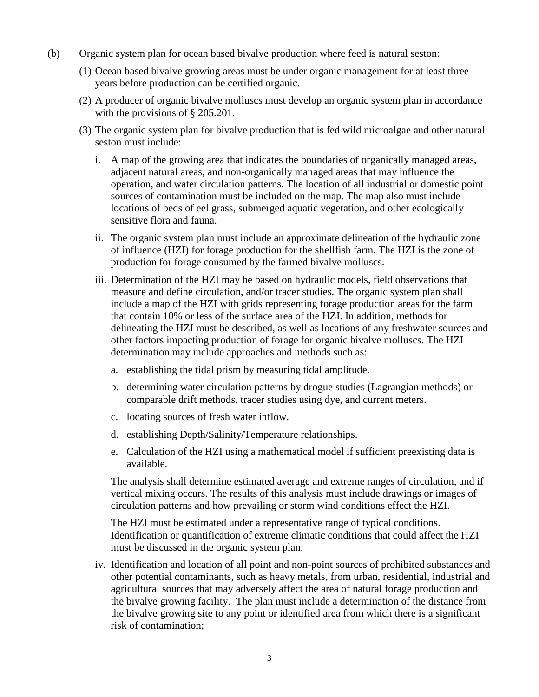- (b) Organic system plan for ocean based bivalve production where feed is natural seston:
	- (1) Ocean based bivalve growing areas must be under organic management for at least three years before production can be certified organic.
	- (2) A producer of organic bivalve molluscs must develop an organic system plan in accordance with the provisions of § 205.201.
	- (3) The organic system plan for bivalve production that is fed wild microalgae and other natural seston must include:
		- i. A map of the growing area that indicates the boundaries of organically managed areas, adjacent natural areas, and non-organically managed areas that may influence the operation, and water circulation patterns. The location of all industrial or domestic point sources of contamination must be included on the map. The map also must include locations of beds of eel grass, submerged aquatic vegetation, and other ecologically sensitive flora and fauna.
		- ii. The organic system plan must include an approximate delineation of the hydraulic zone of influence (HZI) for forage production for the shellfish farm. The HZI is the zone of production for forage consumed by the farmed bivalve molluscs.
		- iii. Determination of the HZI may be based on hydraulic models, field observations that measure and define circulation, and/or tracer studies. The organic system plan shall include a map of the HZI with grids representing forage production areas for the farm that contain 10% or less of the surface area of the HZI. In addition, methods for delineating the HZI must be described, as well as locations of any freshwater sources and other factors impacting production of forage for organic bivalve molluscs. The HZI determination may include approaches and methods such as:
			- a. establishing the tidal prism by measuring tidal amplitude.
			- b. determining water circulation patterns by drogue studies (Lagrangian methods) or comparable drift methods, tracer studies using dye, and current meters.
			- c. locating sources of fresh water inflow.
			- d. establishing Depth/Salinity/Temperature relationships.
			- e. Calculation of the HZI using a mathematical model if sufficient preexisting data is available.

The analysis shall determine estimated average and extreme ranges of circulation, and if vertical mixing occurs. The results of this analysis must include drawings or images of circulation patterns and how prevailing or storm wind conditions effect the HZI.

The HZI must be estimated under a representative range of typical conditions. Identification or quantification of extreme climatic conditions that could affect the HZI must be discussed in the organic system plan.

iv. Identification and location of all point and non-point sources of prohibited substances and other potential contaminants, such as heavy metals, from urban, residential, industrial and agricultural sources that may adversely affect the area of natural forage production and the bivalve growing facility. The plan must include a determination of the distance from the bivalve growing site to any point or identified area from which there is a significant risk of contamination;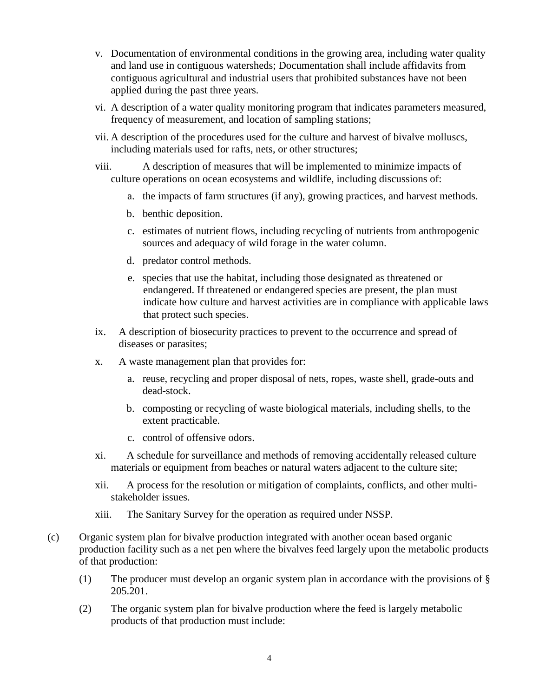- v. Documentation of environmental conditions in the growing area, including water quality and land use in contiguous watersheds; Documentation shall include affidavits from contiguous agricultural and industrial users that prohibited substances have not been applied during the past three years.
- vi. A description of a water quality monitoring program that indicates parameters measured, frequency of measurement, and location of sampling stations;
- vii. A description of the procedures used for the culture and harvest of bivalve molluscs, including materials used for rafts, nets, or other structures;
- viii. A description of measures that will be implemented to minimize impacts of culture operations on ocean ecosystems and wildlife, including discussions of:
	- a. the impacts of farm structures (if any), growing practices, and harvest methods.
	- b. benthic deposition.
	- c. estimates of nutrient flows, including recycling of nutrients from anthropogenic sources and adequacy of wild forage in the water column.
	- d. predator control methods.
	- e. species that use the habitat, including those designated as threatened or endangered. If threatened or endangered species are present, the plan must indicate how culture and harvest activities are in compliance with applicable laws that protect such species.
- ix. A description of biosecurity practices to prevent to the occurrence and spread of diseases or parasites;
- x. A waste management plan that provides for:
	- a. reuse, recycling and proper disposal of nets, ropes, waste shell, grade-outs and dead-stock.
	- b. composting or recycling of waste biological materials, including shells, to the extent practicable.
	- c. control of offensive odors.
- xi. A schedule for surveillance and methods of removing accidentally released culture materials or equipment from beaches or natural waters adjacent to the culture site;
- xii. A process for the resolution or mitigation of complaints, conflicts, and other multistakeholder issues.
- xiii. The Sanitary Survey for the operation as required under NSSP.
- (c) Organic system plan for bivalve production integrated with another ocean based organic production facility such as a net pen where the bivalves feed largely upon the metabolic products of that production:
	- (1) The producer must develop an organic system plan in accordance with the provisions of § 205.201.
	- (2) The organic system plan for bivalve production where the feed is largely metabolic products of that production must include: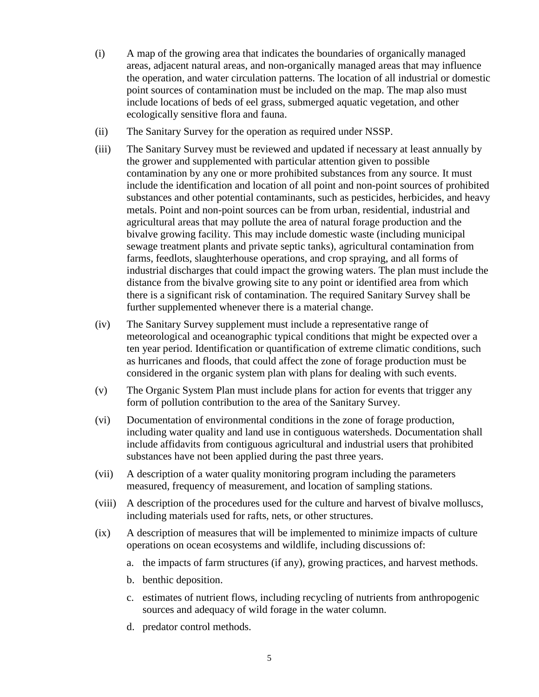- (i) A map of the growing area that indicates the boundaries of organically managed areas, adjacent natural areas, and non-organically managed areas that may influence the operation, and water circulation patterns. The location of all industrial or domestic point sources of contamination must be included on the map. The map also must include locations of beds of eel grass, submerged aquatic vegetation, and other ecologically sensitive flora and fauna.
- (ii) The Sanitary Survey for the operation as required under NSSP.
- (iii) The Sanitary Survey must be reviewed and updated if necessary at least annually by the grower and supplemented with particular attention given to possible contamination by any one or more prohibited substances from any source. It must include the identification and location of all point and non-point sources of prohibited substances and other potential contaminants, such as pesticides, herbicides, and heavy metals. Point and non-point sources can be from urban, residential, industrial and agricultural areas that may pollute the area of natural forage production and the bivalve growing facility. This may include domestic waste (including municipal sewage treatment plants and private septic tanks), agricultural contamination from farms, feedlots, slaughterhouse operations, and crop spraying, and all forms of industrial discharges that could impact the growing waters. The plan must include the distance from the bivalve growing site to any point or identified area from which there is a significant risk of contamination. The required Sanitary Survey shall be further supplemented whenever there is a material change.
- (iv) The Sanitary Survey supplement must include a representative range of meteorological and oceanographic typical conditions that might be expected over a ten year period. Identification or quantification of extreme climatic conditions, such as hurricanes and floods, that could affect the zone of forage production must be considered in the organic system plan with plans for dealing with such events.
- (v) The Organic System Plan must include plans for action for events that trigger any form of pollution contribution to the area of the Sanitary Survey.
- (vi) Documentation of environmental conditions in the zone of forage production, including water quality and land use in contiguous watersheds. Documentation shall include affidavits from contiguous agricultural and industrial users that prohibited substances have not been applied during the past three years.
- (vii) A description of a water quality monitoring program including the parameters measured, frequency of measurement, and location of sampling stations.
- (viii) A description of the procedures used for the culture and harvest of bivalve molluscs, including materials used for rafts, nets, or other structures.
- (ix) A description of measures that will be implemented to minimize impacts of culture operations on ocean ecosystems and wildlife, including discussions of:
	- a. the impacts of farm structures (if any), growing practices, and harvest methods.
	- b. benthic deposition.
	- c. estimates of nutrient flows, including recycling of nutrients from anthropogenic sources and adequacy of wild forage in the water column.
	- d. predator control methods.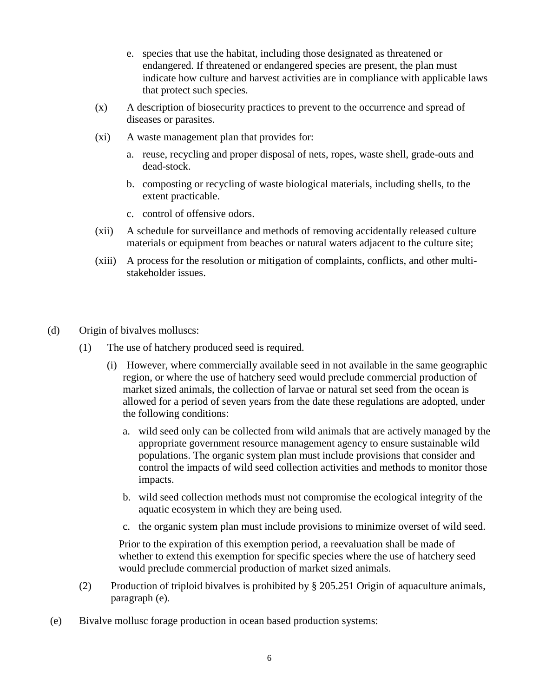- e. species that use the habitat, including those designated as threatened or endangered. If threatened or endangered species are present, the plan must indicate how culture and harvest activities are in compliance with applicable laws that protect such species.
- (x) A description of biosecurity practices to prevent to the occurrence and spread of diseases or parasites.
- (xi) A waste management plan that provides for:
	- a. reuse, recycling and proper disposal of nets, ropes, waste shell, grade-outs and dead-stock.
	- b. composting or recycling of waste biological materials, including shells, to the extent practicable.
	- c. control of offensive odors.
- (xii) A schedule for surveillance and methods of removing accidentally released culture materials or equipment from beaches or natural waters adjacent to the culture site;
- (xiii) A process for the resolution or mitigation of complaints, conflicts, and other multistakeholder issues.
- (d) Origin of bivalves molluscs:
	- (1) The use of hatchery produced seed is required.
		- (i) However, where commercially available seed in not available in the same geographic region, or where the use of hatchery seed would preclude commercial production of market sized animals, the collection of larvae or natural set seed from the ocean is allowed for a period of seven years from the date these regulations are adopted, under the following conditions:
			- a. wild seed only can be collected from wild animals that are actively managed by the appropriate government resource management agency to ensure sustainable wild populations. The organic system plan must include provisions that consider and control the impacts of wild seed collection activities and methods to monitor those impacts.
			- b. wild seed collection methods must not compromise the ecological integrity of the aquatic ecosystem in which they are being used.
			- c. the organic system plan must include provisions to minimize overset of wild seed.

Prior to the expiration of this exemption period, a reevaluation shall be made of whether to extend this exemption for specific species where the use of hatchery seed would preclude commercial production of market sized animals.

- (2) Production of triploid bivalves is prohibited by § 205.251 Origin of aquaculture animals, paragraph (e)*.*
- (e) Bivalve mollusc forage production in ocean based production systems: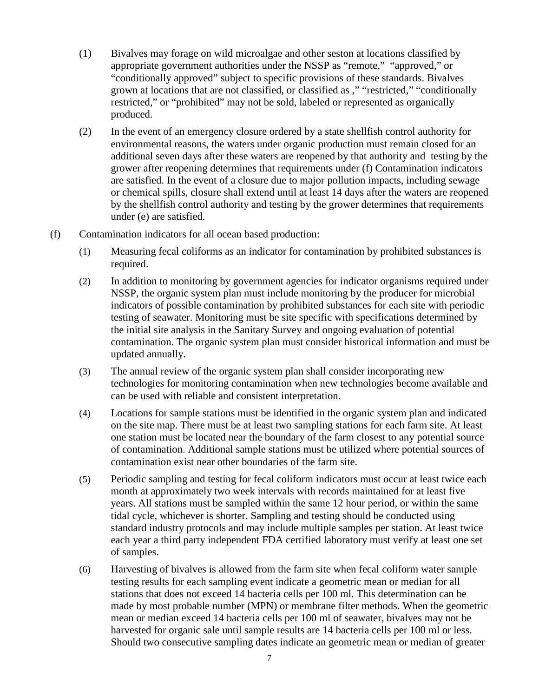- (1) Bivalves may forage on wild microalgae and other seston at locations classified by appropriate government authorities under the NSSP as "remote," "approved," or "conditionally approved" subject to specific provisions of these standards. Bivalves grown at locations that are not classified, or classified as ," "restricted," "conditionally restricted," or "prohibited" may not be sold, labeled or represented as organically produced.
- (2) In the event of an emergency closure ordered by a state shellfish control authority for environmental reasons, the waters under organic production must remain closed for an additional seven days after these waters are reopened by that authority and testing by the grower after reopening determines that requirements under (f) Contamination indicators are satisfied. In the event of a closure due to major pollution impacts, including sewage or chemical spills, closure shall extend until at least 14 days after the waters are reopened by the shellfish control authority and testing by the grower determines that requirements under (e) are satisfied.
- (f) Contamination indicators for all ocean based production:
	- (1) Measuring fecal coliforms as an indicator for contamination by prohibited substances is required.
	- (2) In addition to monitoring by government agencies for indicator organisms required under NSSP, the organic system plan must include monitoring by the producer for microbial indicators of possible contamination by prohibited substances for each site with periodic testing of seawater. Monitoring must be site specific with specifications determined by the initial site analysis in the Sanitary Survey and ongoing evaluation of potential contamination. The organic system plan must consider historical information and must be updated annually.
	- (3) The annual review of the organic system plan shall consider incorporating new technologies for monitoring contamination when new technologies become available and can be used with reliable and consistent interpretation.
	- (4) Locations for sample stations must be identified in the organic system plan and indicated on the site map. There must be at least two sampling stations for each farm site. At least one station must be located near the boundary of the farm closest to any potential source of contamination. Additional sample stations must be utilized where potential sources of contamination exist near other boundaries of the farm site.
	- (5) Periodic sampling and testing for fecal coliform indicators must occur at least twice each month at approximately two week intervals with records maintained for at least five years. All stations must be sampled within the same 12 hour period, or within the same tidal cycle, whichever is shorter. Sampling and testing should be conducted using standard industry protocols and may include multiple samples per station. At least twice each year a third party independent FDA certified laboratory must verify at least one set of samples.
	- (6) Harvesting of bivalves is allowed from the farm site when fecal coliform water sample testing results for each sampling event indicate a geometric mean or median for all stations that does not exceed 14 bacteria cells per 100 ml. This determination can be made by most probable number (MPN) or membrane filter methods. When the geometric mean or median exceed 14 bacteria cells per 100 ml of seawater, bivalves may not be harvested for organic sale until sample results are 14 bacteria cells per 100 ml or less. Should two consecutive sampling dates indicate an geometric mean or median of greater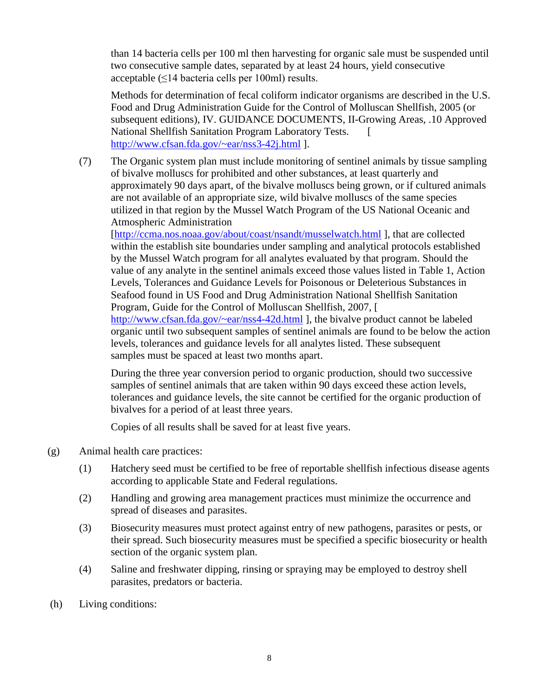than 14 bacteria cells per 100 ml then harvesting for organic sale must be suspended until two consecutive sample dates, separated by at least 24 hours, yield consecutive acceptable  $(\leq 14$  bacteria cells per 100ml) results.

Methods for determination of fecal coliform indicator organisms are described in the U.S. Food and Drug Administration Guide for the Control of Molluscan Shellfish, 2005 (or subsequent editions), IV. GUIDANCE DOCUMENTS, II-Growing Areas, .10 Approved National Shellfish Sanitation Program Laboratory Tests. [ <http://www.cfsan.fda.gov/~ear/nss3-42j.html> ].

(7) The Organic system plan must include monitoring of sentinel animals by tissue sampling of bivalve molluscs for prohibited and other substances, at least quarterly and approximately 90 days apart, of the bivalve molluscs being grown, or if cultured animals are not available of an appropriate size, wild bivalve molluscs of the same species utilized in that region by the Mussel Watch Program of the US National Oceanic and Atmospheric Administration

[\[http://ccma.nos.noaa.gov/about/coast/nsandt/musselwatch.html](http://ccma.nos.noaa.gov/about/coast/nsandt/musselwatch.html) ], that are collected within the establish site boundaries under sampling and analytical protocols established by the Mussel Watch program for all analytes evaluated by that program. Should the value of any analyte in the sentinel animals exceed those values listed in Table 1, Action Levels, Tolerances and Guidance Levels for Poisonous or Deleterious Substances in Seafood found in US Food and Drug Administration National Shellfish Sanitation Program, Guide for the Control of Molluscan Shellfish, 2007, [ <http://www.cfsan.fda.gov/~ear/nss4-42d.html> ], the bivalve product cannot be labeled organic until two subsequent samples of sentinel animals are found to be below the action

levels, tolerances and guidance levels for all analytes listed. These subsequent samples must be spaced at least two months apart.

During the three year conversion period to organic production, should two successive samples of sentinel animals that are taken within 90 days exceed these action levels, tolerances and guidance levels, the site cannot be certified for the organic production of bivalves for a period of at least three years.

Copies of all results shall be saved for at least five years.

- (g) Animal health care practices:
	- (1) Hatchery seed must be certified to be free of reportable shellfish infectious disease agents according to applicable State and Federal regulations.
	- (2) Handling and growing area management practices must minimize the occurrence and spread of diseases and parasites.
	- (3) Biosecurity measures must protect against entry of new pathogens, parasites or pests, or their spread. Such biosecurity measures must be specified a specific biosecurity or health section of the organic system plan.
	- (4) Saline and freshwater dipping, rinsing or spraying may be employed to destroy shell parasites, predators or bacteria.
- (h) Living conditions: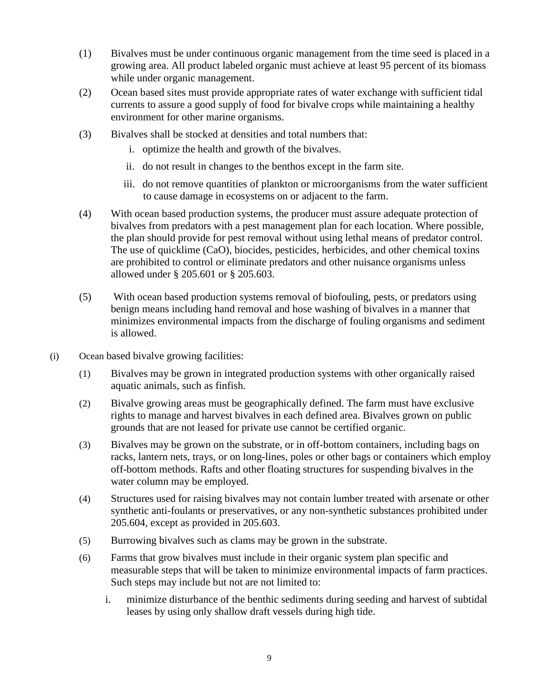- (1) Bivalves must be under continuous organic management from the time seed is placed in a growing area. All product labeled organic must achieve at least 95 percent of its biomass while under organic management.
- (2) Ocean based sites must provide appropriate rates of water exchange with sufficient tidal currents to assure a good supply of food for bivalve crops while maintaining a healthy environment for other marine organisms.
- (3) Bivalves shall be stocked at densities and total numbers that:
	- i. optimize the health and growth of the bivalves.
	- ii. do not result in changes to the benthos except in the farm site.
	- iii. do not remove quantities of plankton or microorganisms from the water sufficient to cause damage in ecosystems on or adjacent to the farm.
- (4) With ocean based production systems, the producer must assure adequate protection of bivalves from predators with a pest management plan for each location. Where possible, the plan should provide for pest removal without using lethal means of predator control. The use of quicklime (CaO), biocides, pesticides, herbicides, and other chemical toxins are prohibited to control or eliminate predators and other nuisance organisms unless allowed under § 205.601 or § 205.603.
- (5) With ocean based production systems removal of biofouling, pests, or predators using benign means including hand removal and hose washing of bivalves in a manner that minimizes environmental impacts from the discharge of fouling organisms and sediment is allowed.
- (i) Ocean based bivalve growing facilities:
	- (1) Bivalves may be grown in integrated production systems with other organically raised aquatic animals, such as finfish.
	- (2) Bivalve growing areas must be geographically defined. The farm must have exclusive rights to manage and harvest bivalves in each defined area. Bivalves grown on public grounds that are not leased for private use cannot be certified organic.
	- (3) Bivalves may be grown on the substrate, or in off-bottom containers, including bags on racks, lantern nets, trays, or on long-lines, poles or other bags or containers which employ off-bottom methods. Rafts and other floating structures for suspending bivalves in the water column may be employed.
	- (4) Structures used for raising bivalves may not contain lumber treated with arsenate or other synthetic anti-foulants or preservatives, or any non-synthetic substances prohibited under 205.604, except as provided in 205.603.
	- (5) Burrowing bivalves such as clams may be grown in the substrate.
	- (6) Farms that grow bivalves must include in their organic system plan specific and measurable steps that will be taken to minimize environmental impacts of farm practices. Such steps may include but not are not limited to:
		- i. minimize disturbance of the benthic sediments during seeding and harvest of subtidal leases by using only shallow draft vessels during high tide.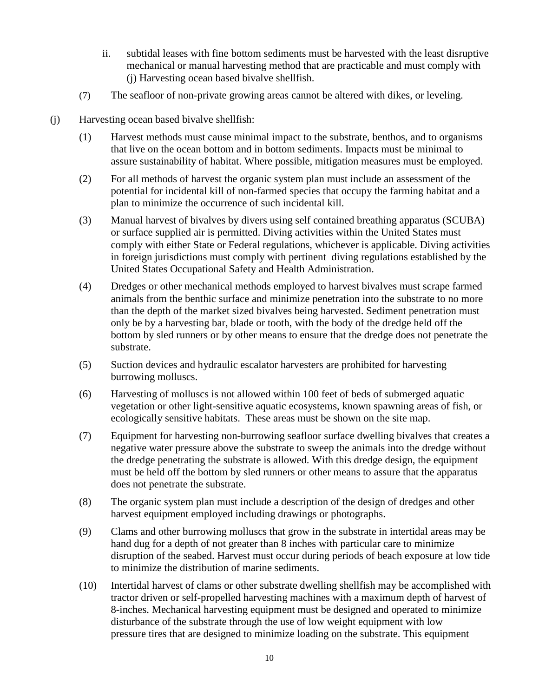- ii. subtidal leases with fine bottom sediments must be harvested with the least disruptive mechanical or manual harvesting method that are practicable and must comply with (j) Harvesting ocean based bivalve shellfish.
- (7) The seafloor of non-private growing areas cannot be altered with dikes, or leveling.
- (j) Harvesting ocean based bivalve shellfish:
	- (1) Harvest methods must cause minimal impact to the substrate, benthos, and to organisms that live on the ocean bottom and in bottom sediments. Impacts must be minimal to assure sustainability of habitat. Where possible, mitigation measures must be employed.
	- (2) For all methods of harvest the organic system plan must include an assessment of the potential for incidental kill of non-farmed species that occupy the farming habitat and a plan to minimize the occurrence of such incidental kill.
	- (3) Manual harvest of bivalves by divers using self contained breathing apparatus (SCUBA) or surface supplied air is permitted. Diving activities within the United States must comply with either State or Federal regulations, whichever is applicable. Diving activities in foreign jurisdictions must comply with pertinent diving regulations established by the United States Occupational Safety and Health Administration.
	- (4) Dredges or other mechanical methods employed to harvest bivalves must scrape farmed animals from the benthic surface and minimize penetration into the substrate to no more than the depth of the market sized bivalves being harvested. Sediment penetration must only be by a harvesting bar, blade or tooth, with the body of the dredge held off the bottom by sled runners or by other means to ensure that the dredge does not penetrate the substrate.
	- (5) Suction devices and hydraulic escalator harvesters are prohibited for harvesting burrowing molluscs.
	- (6) Harvesting of molluscs is not allowed within 100 feet of beds of submerged aquatic vegetation or other light-sensitive aquatic ecosystems, known spawning areas of fish, or ecologically sensitive habitats. These areas must be shown on the site map.
	- (7) Equipment for harvesting non-burrowing seafloor surface dwelling bivalves that creates a negative water pressure above the substrate to sweep the animals into the dredge without the dredge penetrating the substrate is allowed. With this dredge design, the equipment must be held off the bottom by sled runners or other means to assure that the apparatus does not penetrate the substrate.
	- (8) The organic system plan must include a description of the design of dredges and other harvest equipment employed including drawings or photographs.
	- (9) Clams and other burrowing molluscs that grow in the substrate in intertidal areas may be hand dug for a depth of not greater than 8 inches with particular care to minimize disruption of the seabed. Harvest must occur during periods of beach exposure at low tide to minimize the distribution of marine sediments.
	- (10) Intertidal harvest of clams or other substrate dwelling shellfish may be accomplished with tractor driven or self-propelled harvesting machines with a maximum depth of harvest of 8-inches. Mechanical harvesting equipment must be designed and operated to minimize disturbance of the substrate through the use of low weight equipment with low pressure tires that are designed to minimize loading on the substrate. This equipment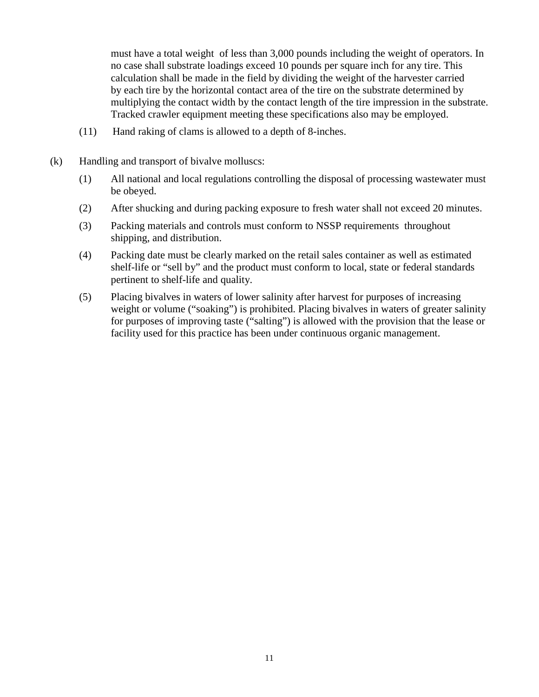must have a total weight of less than 3,000 pounds including the weight of operators. In no case shall substrate loadings exceed 10 pounds per square inch for any tire. This calculation shall be made in the field by dividing the weight of the harvester carried by each tire by the horizontal contact area of the tire on the substrate determined by multiplying the contact width by the contact length of the tire impression in the substrate. Tracked crawler equipment meeting these specifications also may be employed.

- (11) Hand raking of clams is allowed to a depth of 8-inches.
- (k) Handling and transport of bivalve molluscs:
	- (1) All national and local regulations controlling the disposal of processing wastewater must be obeyed.
	- (2) After shucking and during packing exposure to fresh water shall not exceed 20 minutes.
	- (3) Packing materials and controls must conform to NSSP requirements throughout shipping, and distribution.
	- (4) Packing date must be clearly marked on the retail sales container as well as estimated shelf-life or "sell by" and the product must conform to local, state or federal standards pertinent to shelf-life and quality.
	- (5) Placing bivalves in waters of lower salinity after harvest for purposes of increasing weight or volume ("soaking") is prohibited. Placing bivalves in waters of greater salinity for purposes of improving taste ("salting") is allowed with the provision that the lease or facility used for this practice has been under continuous organic management.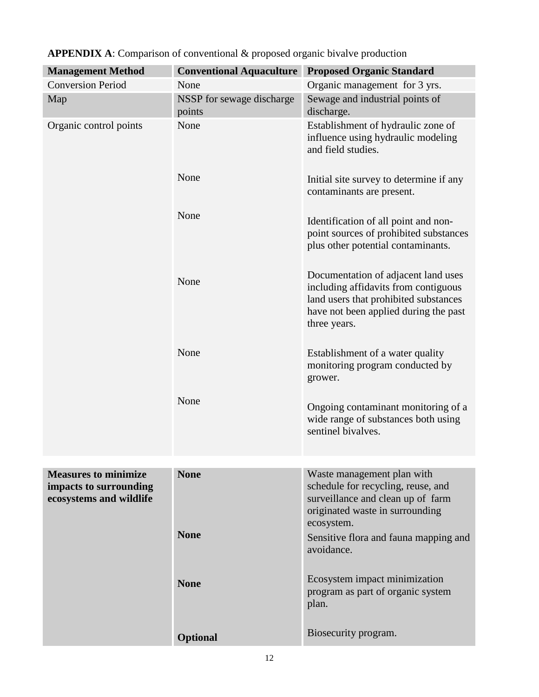| <b>Management Method</b>                                                         | <b>Conventional Aquaculture</b>     | <b>Proposed Organic Standard</b>                                                                                                                                              |
|----------------------------------------------------------------------------------|-------------------------------------|-------------------------------------------------------------------------------------------------------------------------------------------------------------------------------|
| <b>Conversion Period</b>                                                         | None                                | Organic management for 3 yrs.                                                                                                                                                 |
| Map                                                                              | NSSP for sewage discharge<br>points | Sewage and industrial points of<br>discharge.                                                                                                                                 |
| Organic control points                                                           | None                                | Establishment of hydraulic zone of<br>influence using hydraulic modeling<br>and field studies.                                                                                |
|                                                                                  | None                                | Initial site survey to determine if any<br>contaminants are present.                                                                                                          |
|                                                                                  | None                                | Identification of all point and non-<br>point sources of prohibited substances<br>plus other potential contaminants.                                                          |
|                                                                                  | None                                | Documentation of adjacent land uses<br>including affidavits from contiguous<br>land users that prohibited substances<br>have not been applied during the past<br>three years. |
|                                                                                  | None                                | Establishment of a water quality<br>monitoring program conducted by<br>grower.                                                                                                |
|                                                                                  | None                                | Ongoing contaminant monitoring of a<br>wide range of substances both using<br>sentinel bivalves.                                                                              |
|                                                                                  |                                     |                                                                                                                                                                               |
| <b>Measures to minimize</b><br>impacts to surrounding<br>ecosystems and wildlife | <b>None</b>                         | Waste management plan with<br>schedule for recycling, reuse, and<br>surveillance and clean up of farm<br>originated waste in surrounding<br>ecosystem.                        |
|                                                                                  | <b>None</b>                         | Sensitive flora and fauna mapping and<br>avoidance.                                                                                                                           |
|                                                                                  | <b>None</b>                         | Ecosystem impact minimization<br>program as part of organic system<br>plan.                                                                                                   |
|                                                                                  | <b>Optional</b>                     | Biosecurity program.                                                                                                                                                          |

# **APPENDIX A**: Comparison of conventional & proposed organic bivalve production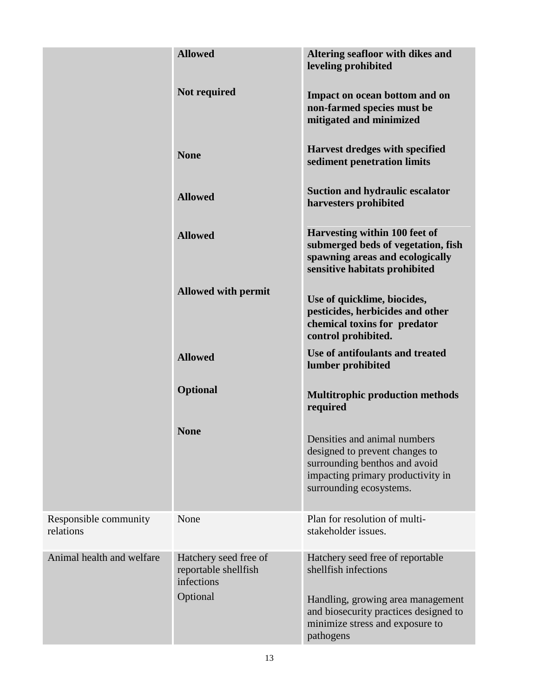|                                    | <b>Allowed</b>                                                          | Altering seafloor with dikes and<br>leveling prohibited                                                                                                         |
|------------------------------------|-------------------------------------------------------------------------|-----------------------------------------------------------------------------------------------------------------------------------------------------------------|
|                                    | Not required                                                            | Impact on ocean bottom and on<br>non-farmed species must be<br>mitigated and minimized                                                                          |
|                                    | <b>None</b>                                                             | Harvest dredges with specified<br>sediment penetration limits                                                                                                   |
|                                    | <b>Allowed</b>                                                          | <b>Suction and hydraulic escalator</b><br>harvesters prohibited                                                                                                 |
|                                    | <b>Allowed</b>                                                          | Harvesting within 100 feet of<br>submerged beds of vegetation, fish<br>spawning areas and ecologically<br>sensitive habitats prohibited                         |
|                                    | <b>Allowed with permit</b>                                              | Use of quicklime, biocides,<br>pesticides, herbicides and other<br>chemical toxins for predator<br>control prohibited.                                          |
|                                    | <b>Allowed</b>                                                          | Use of antifoulants and treated<br>lumber prohibited                                                                                                            |
|                                    | <b>Optional</b>                                                         | <b>Multitrophic production methods</b><br>required                                                                                                              |
|                                    | <b>None</b>                                                             | Densities and animal numbers<br>designed to prevent changes to<br>surrounding benthos and avoid<br>impacting primary productivity in<br>surrounding ecosystems. |
| Responsible community<br>relations | None                                                                    | Plan for resolution of multi-<br>stakeholder issues.                                                                                                            |
| Animal health and welfare          | Hatchery seed free of<br>reportable shellfish<br>infections<br>Optional | Hatchery seed free of reportable<br>shellfish infections                                                                                                        |
|                                    |                                                                         | Handling, growing area management<br>and biosecurity practices designed to<br>minimize stress and exposure to<br>pathogens                                      |